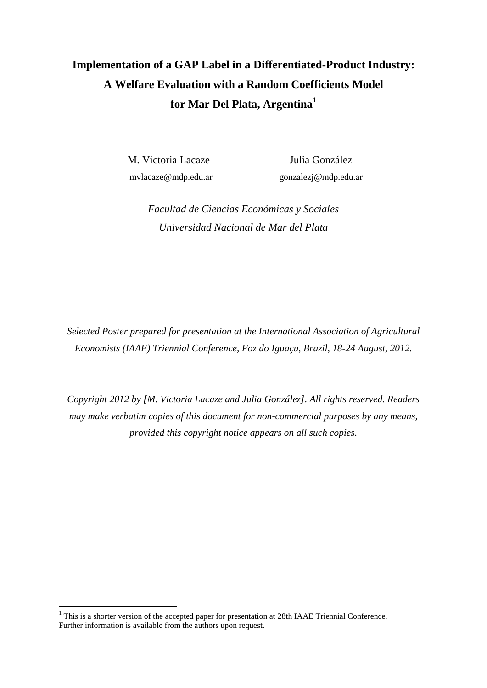# **Implementation of a GAP Label in a Differentiated-Product Industry: A Welfare Evaluation with a Random Coefficients Model for Mar Del Plata, Argentina<sup>1</sup>**

M. Victoria Lacaze Julia González

mvlacaze@mdp.edu.ar gonzalezj@mdp.edu.ar

*Facultad de Ciencias Económicas y Sociales Universidad Nacional de Mar del Plata*

*Selected Poster prepared for presentation at the International Association of Agricultural Economists (IAAE) Triennial Conference, Foz do Iguaçu, Brazil, 18-24 August, 2012.*

*Copyright 2012 by [M. Victoria Lacaze and Julia González]. All rights reserved. Readers may make verbatim copies of this document for non-commercial purposes by any means, provided this copyright notice appears on all such copies.*

<u>.</u>

 $<sup>1</sup>$  This is a shorter version of the accepted paper for presentation at 28th IAAE Triennial Conference.</sup> Further information is available from the authors upon request.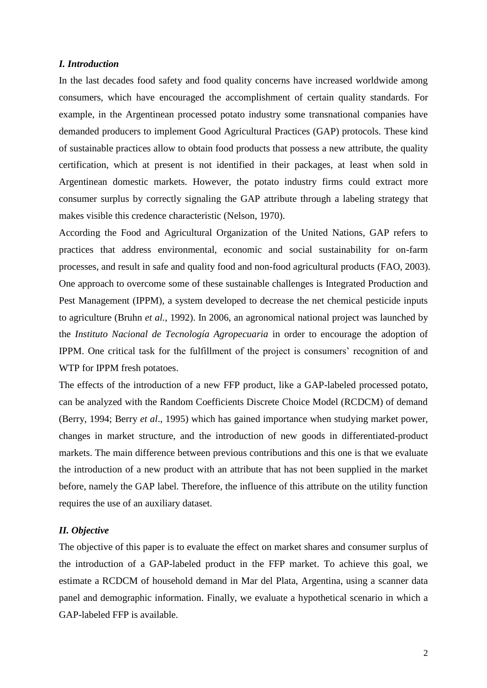## *I. Introduction*

In the last decades food safety and food quality concerns have increased worldwide among consumers, which have encouraged the accomplishment of certain quality standards. For example, in the Argentinean processed potato industry some transnational companies have demanded producers to implement Good Agricultural Practices (GAP) protocols. These kind of sustainable practices allow to obtain food products that possess a new attribute, the quality certification, which at present is not identified in their packages, at least when sold in Argentinean domestic markets. However, the potato industry firms could extract more consumer surplus by correctly signaling the GAP attribute through a labeling strategy that makes visible this credence characteristic (Nelson, 1970).

According the Food and Agricultural Organization of the United Nations, GAP refers to practices that address environmental, economic and social sustainability for on-farm processes, and result in safe and quality food and non-food agricultural products (FAO, 2003). One approach to overcome some of these sustainable challenges is Integrated Production and Pest Management (IPPM), a system developed to decrease the net chemical pesticide inputs to agriculture (Bruhn *et al.*, 1992). In 2006, an agronomical national project was launched by the *Instituto Nacional de Tecnología Agropecuaria* in order to encourage the adoption of IPPM. One critical task for the fulfillment of the project is consumers' recognition of and WTP for IPPM fresh potatoes.

The effects of the introduction of a new FFP product, like a GAP-labeled processed potato, can be analyzed with the Random Coefficients Discrete Choice Model (RCDCM) of demand (Berry, 1994; Berry *et al*., 1995) which has gained importance when studying market power, changes in market structure, and the introduction of new goods in differentiated-product markets. The main difference between previous contributions and this one is that we evaluate the introduction of a new product with an attribute that has not been supplied in the market before, namely the GAP label. Therefore, the influence of this attribute on the utility function requires the use of an auxiliary dataset.

#### *II. Objective*

The objective of this paper is to evaluate the effect on market shares and consumer surplus of the introduction of a GAP-labeled product in the FFP market. To achieve this goal, we estimate a RCDCM of household demand in Mar del Plata, Argentina, using a scanner data panel and demographic information. Finally, we evaluate a hypothetical scenario in which a GAP-labeled FFP is available.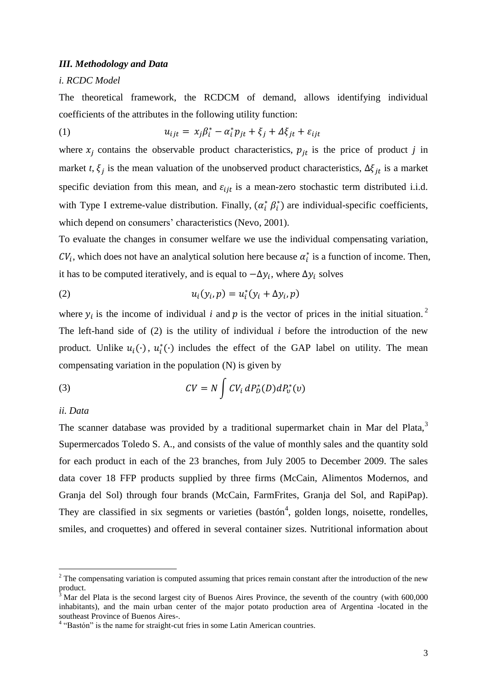#### *III. Methodology and Data*

#### *i. RCDC Model*

The theoretical framework, the RCDCM of demand, allows identifying individual coefficients of the attributes in the following utility function:

(1) 
$$
u_{ijt} = x_j \beta_i^* - \alpha_i^* p_{jt} + \xi_j + \Delta \xi_{jt} + \varepsilon_{ijt}
$$

where  $x_j$  contains the observable product characteristics,  $p_{jt}$  is the price of product *j* in market *t*,  $\xi_i$  is the mean valuation of the unobserved product characteristics,  $\Delta \xi_{it}$  is a market specific deviation from this mean, and  $\varepsilon_{i j t}$  is a mean-zero stochastic term distributed i.i.d. with Type I extreme-value distribution. Finally,  $(\alpha_i^*, \beta_i^*)$  are individual-specific coefficients, which depend on consumers' characteristics (Nevo, 2001).

To evaluate the changes in consumer welfare we use the individual compensating variation,  $CV_i$ , which does not have an analytical solution here because  $\alpha_i^*$  is a function of income. Then, it has to be computed iteratively, and is equal to  $-\Delta y_i$ , where  $\Delta y_i$  solves

$$
(2) \t\t\t u_i(y_i, p) = u_i^*(y_i + \Delta y_i, p)
$$

where  $y_i$  is the income of individual *i* and p is the vector of prices in the initial situation.<sup>2</sup> The left-hand side of (2) is the utility of individual *i* before the introduction of the new product. Unlike  $u_i(\cdot)$ ,  $u_i^*(\cdot)$  includes the effect of the GAP label on utility. The mean compensating variation in the population (N) is given by

(3) 
$$
CV = N \int CV_i dP_D^*(D) dP_v^*(v)
$$

## *ii. Data*

1

The scanner database was provided by a traditional supermarket chain in Mar del Plata, $3$ Supermercados Toledo S. A., and consists of the value of monthly sales and the quantity sold for each product in each of the 23 branches, from July 2005 to December 2009. The sales data cover 18 FFP products supplied by three firms (McCain, Alimentos Modernos, and Granja del Sol) through four brands (McCain, FarmFrites, Granja del Sol, and RapiPap). They are classified in six segments or varieties (bastón<sup>4</sup>, golden longs, noisette, rondelles, smiles, and croquettes) and offered in several container sizes. Nutritional information about

<sup>&</sup>lt;sup>2</sup> The compensating variation is computed assuming that prices remain constant after the introduction of the new product.

<sup>3</sup> Mar del Plata is the second largest city of Buenos Aires Province, the seventh of the country (with 600,000 inhabitants), and the main urban center of the major potato production area of Argentina -located in the southeast Province of Buenos Aires-.

<sup>&</sup>lt;sup>4</sup> "Bastón" is the name for straight-cut fries in some Latin American countries.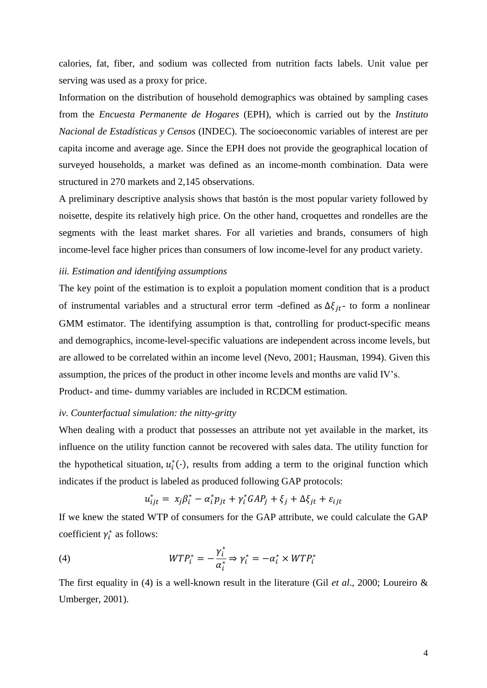calories, fat, fiber, and sodium was collected from nutrition facts labels. Unit value per serving was used as a proxy for price.

Information on the distribution of household demographics was obtained by sampling cases from the *Encuesta Permanente de Hogares* (EPH), which is carried out by the *Instituto Nacional de Estadísticas y Censos* (INDEC). The socioeconomic variables of interest are per capita income and average age. Since the EPH does not provide the geographical location of surveyed households, a market was defined as an income-month combination. Data were structured in 270 markets and 2,145 observations.

A preliminary descriptive analysis shows that bastón is the most popular variety followed by noisette, despite its relatively high price. On the other hand, croquettes and rondelles are the segments with the least market shares. For all varieties and brands, consumers of high income-level face higher prices than consumers of low income-level for any product variety.

#### *iii. Estimation and identifying assumptions*

The key point of the estimation is to exploit a population moment condition that is a product of instrumental variables and a structural error term -defined as  $\Delta \xi_{it}$ - to form a nonlinear GMM estimator. The identifying assumption is that, controlling for product-specific means and demographics, income-level-specific valuations are independent across income levels, but are allowed to be correlated within an income level (Nevo, 2001; Hausman, 1994). Given this assumption, the prices of the product in other income levels and months are valid IV's. Product- and time- dummy variables are included in RCDCM estimation.

## *iv. Counterfactual simulation: the nitty-gritty*

When dealing with a product that possesses an attribute not yet available in the market, its influence on the utility function cannot be recovered with sales data. The utility function for the hypothetical situation,  $u_i^*(\cdot)$ , results from adding a term to the original function which indicates if the product is labeled as produced following GAP protocols:

$$
u_{ijt}^* = x_j \beta_i^* - \alpha_i^* p_{jt} + \gamma_i^* GAP_j + \xi_j + \Delta \xi_{jt} + \varepsilon_{ijt}
$$

If we knew the stated WTP of consumers for the GAP attribute, we could calculate the GAP coefficient  $\gamma_i^*$  as follows:

(4) 
$$
WTP_i^* = -\frac{\gamma_i^*}{\alpha_i^*} \Rightarrow \gamma_i^* = -\alpha_i^* \times WTP_i^*
$$

The first equality in (4) is a well-known result in the literature (Gil *et al*., 2000; Loureiro & Umberger, 2001).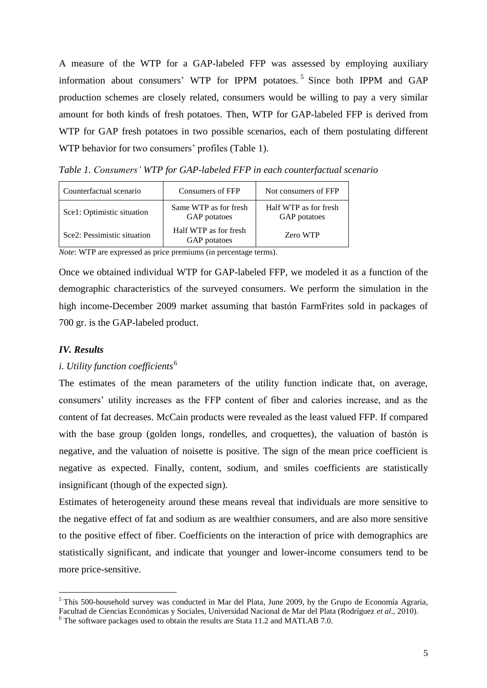A measure of the WTP for a GAP-labeled FFP was assessed by employing auxiliary information about consumers' WTP for IPPM potatoes. 5 Since both IPPM and GAP production schemes are closely related, consumers would be willing to pay a very similar amount for both kinds of fresh potatoes. Then, WTP for GAP-labeled FFP is derived from WTP for GAP fresh potatoes in two possible scenarios, each of them postulating different WTP behavior for two consumers' profiles (Table 1).

*Table 1. Consumers' WTP for GAP-labeled FFP in each counterfactual scenario*

| Counterfactual scenario     | Consumers of FFP                      | Not consumers of FFP                  |
|-----------------------------|---------------------------------------|---------------------------------------|
| Scel: Optimistic situation  | Same WTP as for fresh<br>GAP potatoes | Half WTP as for fresh<br>GAP potatoes |
| Sce2: Pessimistic situation | Half WTP as for fresh<br>GAP potatoes | Zero WTP                              |

*Note*: WTP are expressed as price premiums (in percentage terms).

Once we obtained individual WTP for GAP-labeled FFP, we modeled it as a function of the demographic characteristics of the surveyed consumers. We perform the simulation in the high income-December 2009 market assuming that bastón FarmFrites sold in packages of 700 gr. is the GAP-labeled product.

# *IV. Results*

<u>.</u>

# *i. Utility function coefficients*<sup>6</sup>

The estimates of the mean parameters of the utility function indicate that, on average, consumers' utility increases as the FFP content of fiber and calories increase, and as the content of fat decreases. McCain products were revealed as the least valued FFP. If compared with the base group (golden longs, rondelles, and croquettes), the valuation of bastón is negative, and the valuation of noisette is positive. The sign of the mean price coefficient is negative as expected. Finally, content, sodium, and smiles coefficients are statistically insignificant (though of the expected sign).

Estimates of heterogeneity around these means reveal that individuals are more sensitive to the negative effect of fat and sodium as are wealthier consumers, and are also more sensitive to the positive effect of fiber. Coefficients on the interaction of price with demographics are statistically significant, and indicate that younger and lower-income consumers tend to be more price-sensitive.

<sup>&</sup>lt;sup>5</sup> This 500-household survey was conducted in Mar del Plata, June 2009, by the Grupo de Economía Agraria, Facultad de Ciencias Económicas y Sociales, Universidad Nacional de Mar del Plata (Rodríguez *et al*., 2010).

 $6$  The software packages used to obtain the results are Stata 11.2 and MATLAB 7.0.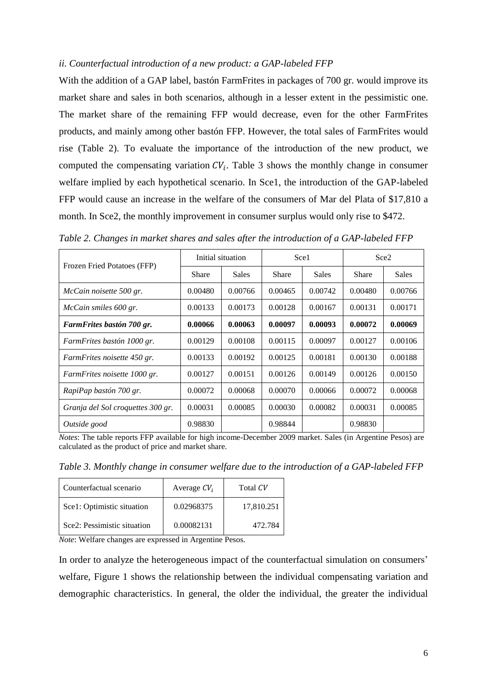#### *ii. Counterfactual introduction of a new product: a GAP-labeled FFP*

With the addition of a GAP label, bastón FarmFrites in packages of 700 gr. would improve its market share and sales in both scenarios, although in a lesser extent in the pessimistic one. The market share of the remaining FFP would decrease, even for the other FarmFrites products, and mainly among other bastón FFP. However, the total sales of FarmFrites would rise (Table 2). To evaluate the importance of the introduction of the new product, we computed the compensating variation  $CV_i$ . Table 3 shows the monthly change in consumer welfare implied by each hypothetical scenario. In Sce1, the introduction of the GAP-labeled FFP would cause an increase in the welfare of the consumers of Mar del Plata of \$17,810 a month. In Sce2, the monthly improvement in consumer surplus would only rise to \$472.

| Frozen Fried Potatoes (FFP)       | Initial situation |              | Sce1    |              | Sce <sub>2</sub> |         |
|-----------------------------------|-------------------|--------------|---------|--------------|------------------|---------|
|                                   | Share             | <b>Sales</b> | Share   | <b>Sales</b> | Share            | Sales   |
| McCain noisette 500 gr.           | 0.00480           | 0.00766      | 0.00465 | 0.00742      | 0.00480          | 0.00766 |
| McCain smiles 600 gr.             | 0.00133           | 0.00173      | 0.00128 | 0.00167      | 0.00131          | 0.00171 |
| FarmFrites bastón 700 gr.         | 0.00066           | 0.00063      | 0.00097 | 0.00093      | 0.00072          | 0.00069 |
| FarmFrites bastón 1000 gr.        | 0.00129           | 0.00108      | 0.00115 | 0.00097      | 0.00127          | 0.00106 |
| FarmFrites noisette 450 gr.       | 0.00133           | 0.00192      | 0.00125 | 0.00181      | 0.00130          | 0.00188 |
| FarmFrites noisette 1000 gr.      | 0.00127           | 0.00151      | 0.00126 | 0.00149      | 0.00126          | 0.00150 |
| RapiPap bastón 700 gr.            | 0.00072           | 0.00068      | 0.00070 | 0.00066      | 0.00072          | 0.00068 |
| Granja del Sol croquettes 300 gr. | 0.00031           | 0.00085      | 0.00030 | 0.00082      | 0.00031          | 0.00085 |
| Outside good                      | 0.98830           |              | 0.98844 |              | 0.98830          |         |

*Table 2. Changes in market shares and sales after the introduction of a GAP-labeled FFP*

*Notes*: The table reports FFP available for high income-December 2009 market. Sales (in Argentine Pesos) are calculated as the product of price and market share.

*Table 3. Monthly change in consumer welfare due to the introduction of a GAP-labeled FFP*

| Counterfactual scenario     | Average $CV_i$ | Total CV   |
|-----------------------------|----------------|------------|
| Scel: Optimistic situation  | 0.02968375     | 17,810.251 |
| Sce2: Pessimistic situation | 0.00082131     | 472.784    |

*Note*: Welfare changes are expressed in Argentine Pesos.

In order to analyze the heterogeneous impact of the counterfactual simulation on consumers' welfare, Figure 1 shows the relationship between the individual compensating variation and demographic characteristics. In general, the older the individual, the greater the individual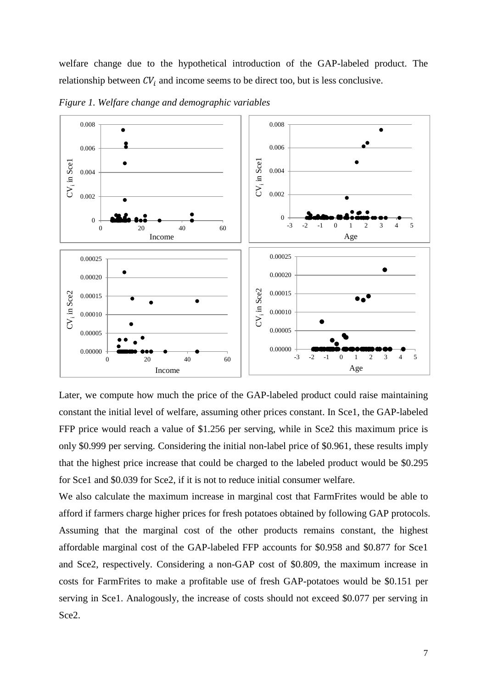welfare change due to the hypothetical introduction of the GAP-labeled product. The relationship between  $CV_i$  and income seems to be direct too, but is less conclusive.



*Figure 1. Welfare change and demographic variables*

Later, we compute how much the price of the GAP-labeled product could raise maintaining constant the initial level of welfare, assuming other prices constant. In Sce1, the GAP-labeled FFP price would reach a value of \$1.256 per serving, while in Sce2 this maximum price is only \$0.999 per serving. Considering the initial non-label price of \$0.961, these results imply that the highest price increase that could be charged to the labeled product would be \$0.295 for Sce1 and \$0.039 for Sce2, if it is not to reduce initial consumer welfare.

We also calculate the maximum increase in marginal cost that FarmFrites would be able to afford if farmers charge higher prices for fresh potatoes obtained by following GAP protocols. Assuming that the marginal cost of the other products remains constant, the highest affordable marginal cost of the GAP-labeled FFP accounts for \$0.958 and \$0.877 for Sce1 and Sce2, respectively. Considering a non-GAP cost of \$0.809, the maximum increase in costs for FarmFrites to make a profitable use of fresh GAP-potatoes would be \$0.151 per serving in Sce1. Analogously, the increase of costs should not exceed \$0.077 per serving in Sce2.